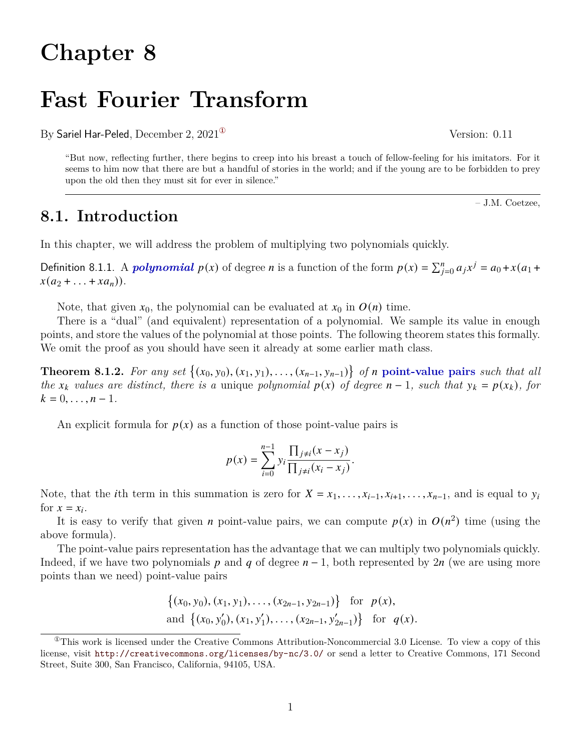## **Chapter 8**

# **Fast Fourier Transform**

By Sariel Har-Peled, December 2, 2021<sup>®</sup> Version: 0.11

"But now, reflecting further, there begins to creep into his breast a touch of fellow-feeling for his imitators. For it seems to him now that there are but a handful of stories in the world; and if the young are to be forbidden to prey upon the old then they must sit for ever in silence."

## **8.1. Introduction**

In this chapter, we will address the problem of multiplying two polynomials quickly.

Definition 8.1.1. A *polynomial*  $p(x)$  of degree *n* is a function of the form  $p(x) = \sum_{j=0}^{n} a_j x^j = a_0 + x(a_1 +$  $x(a_2 + ... + xa_n)).$ 

Note, that given  $x_0$ , the polynomial can be evaluated at  $x_0$  in  $O(n)$  time.

There is a "dual" (and equivalent) representation of a polynomial. We sample its value in enough points, and store the values of the polynomial at those points. The following theorem states this formally. We omit the proof as you should have seen it already at some earlier math class.

**Theorem 8.1.2.** For any set  $\{(x_0, y_0), (x_1, y_1), \ldots, (x_{n-1}, y_{n-1})\}$  of *n* point-value pairs such that all *the*  $x_k$  values are distinct, there is a unique polynomial  $p(x)$  of degree  $n-1$ *, such that*  $y_k = p(x_k)$ *, for*  $k = 0, \ldots, n - 1.$ 

An explicit formula for  $p(x)$  as a function of those point-value pairs is

$$
p(x) = \sum_{i=0}^{n-1} y_i \frac{\prod_{j \neq i} (x - x_j)}{\prod_{j \neq i} (x_i - x_j)}.
$$

Note, that the *i*th term in this summation is zero for  $X = x_1, \ldots, x_{i-1}, x_{i+1}, \ldots, x_{n-1}$ , and is equal to  $y_i$ for  $x = x_i$ .

It is easy to verify that given *n* point-value pairs, we can compute  $p(x)$  in  $O(n^2)$  time (using the above formula).

The point-value pairs representation has the advantage that we can multiply two polynomials quickly. Indeed, if we have two polynomials p and q of degree  $n-1$ , both represented by 2n (we are using more points than we need) point-value pairs

$$
\{(x_0, y_0), (x_1, y_1), \ldots, (x_{2n-1}, y_{2n-1})\} \text{ for } p(x),
$$
  
and 
$$
\{(x_0, y'_0), (x_1, y'_1), \ldots, (x_{2n-1}, y'_{2n-1})\} \text{ for } q(x).
$$

– J.M. Coetzee,

<span id="page-0-0"></span> ${}^{\circ}$ This work is licensed under the Creative Commons Attribution-Noncommercial 3.0 License. To view a copy of this license, visit <http://creativecommons.org/licenses/by-nc/3.0/> or send a letter to Creative Commons, 171 Second Street, Suite 300, San Francisco, California, 94105, USA.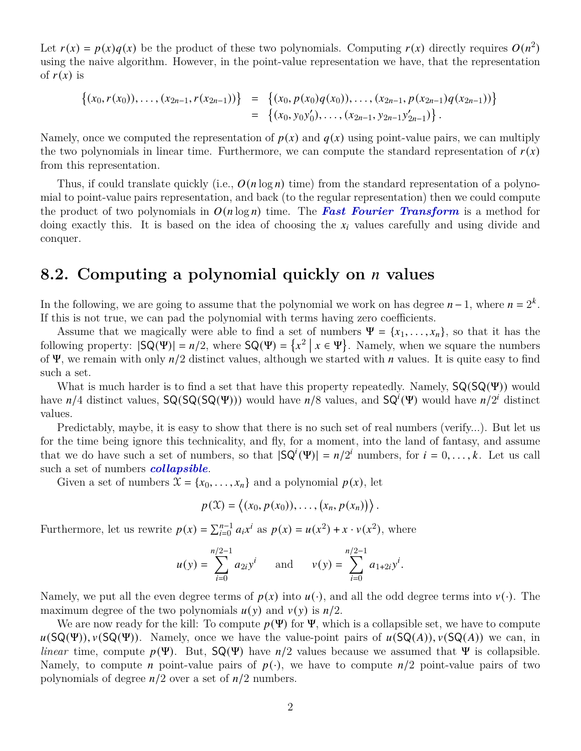Let  $r(x) = p(x)q(x)$  be the product of these two polynomials. Computing  $r(x)$  directly requires  $O(n^2)$ using the naive algorithm. However, in the point-value representation we have, that the representation of  $r(x)$  is

$$
\begin{array}{lcl}\{(x_0,r(x_0)),\ldots,(x_{2n-1},r(x_{2n-1}))\}&=&\{(x_0,p(x_0)q(x_0)),\ldots,(x_{2n-1},p(x_{2n-1})q(x_{2n-1}))\}&=&\{(x_0,y_0y'_0),\ldots,(x_{2n-1},y_{2n-1}y'_{2n-1})\}\,.\end{array}
$$

Namely, once we computed the representation of  $p(x)$  and  $q(x)$  using point-value pairs, we can multiply the two polynomials in linear time. Furthermore, we can compute the standard representation of  $r(x)$ from this representation.

Thus, if could translate quickly (i.e.,  $O(n \log n)$  time) from the standard representation of a polynomial to point-value pairs representation, and back (to the regular representation) then we could compute the product of two polynomials in  $O(n \log n)$  time. The **Fast Fourier Transform** is a method for doing exactly this. It is based on the idea of choosing the  $x_i$  values carefully and using divide and conquer.

## **8.2. Computing a polynomial quickly on values**

In the following, we are going to assume that the polynomial we work on has degree  $n-1$ , where  $n = 2<sup>k</sup>$ . If this is not true, we can pad the polynomial with terms having zero coefficients.

Assume that we magically were able to find a set of numbers  $\Psi = \{x_1, \ldots, x_n\}$ , so that it has the following property:  $|SQ(\Psi)| = n/2$ , where  $SQ(\Psi) = \{x^2 | x \in \Psi\}$ . Namely, when we square the numbers of  $\Psi$ , we remain with only  $n/2$  distinct values, although we started with *n* values. It is quite easy to find such a set.

What is much harder is to find a set that have this property repeatedly. Namely,  $SQ(SQ(\Psi))$  would have  $n/4$  distinct values,  $SQ(SQ(SQ(\Psi)))$  would have  $n/8$  values, and  $SQ^{i}(\Psi)$  would have  $n/2^{i}$  distinct values.

Predictably, maybe, it is easy to show that there is no such set of real numbers (verify...). But let us for the time being ignore this technicality, and fly, for a moment, into the land of fantasy, and assume that we do have such a set of numbers, so that  $|\mathsf{SQ}^i(\Psi)| = n/2^i$  numbers, for  $i = 0, \ldots, k$ . Let us call such a set of numbers *collapsible*.

Given a set of numbers  $\mathcal{X} = \{x_0, \ldots, x_n\}$  and a polynomial  $p(x)$ , let

$$
p(\mathfrak{X})=\left\langle (x_0,p(x_0)),\ldots,(x_n,p(x_n))\right\rangle.
$$

Furthermore, let us rewrite  $p(x) = \sum_{i=0}^{n-1} a_i x^i$  as  $p(x) = u(x^2) + x \cdot v(x^2)$ , where

$$
u(y) = \sum_{i=0}^{n/2-1} a_{2i} y^{i}
$$
 and  $v(y) = \sum_{i=0}^{n/2-1} a_{1+2i} y^{i}$ .

Namely, we put all the even degree terms of  $p(x)$  into  $u(\cdot)$ , and all the odd degree terms into  $v(\cdot)$ . The maximum degree of the two polynomials  $u(y)$  and  $v(y)$  is  $n/2$ .

We are now ready for the kill: To compute  $p(\Psi)$  for  $\Psi$ , which is a collapsible set, we have to compute  $u(SQ(\Psi))$ ,  $v(SQ(\Psi))$ . Namely, once we have the value-point pairs of  $u(SQ(A))$ ,  $v(SQ(A))$  we can, in *linear* time, compute  $p(\Psi)$ . But,  $SQ(\Psi)$  have  $n/2$  values because we assumed that  $\Psi$  is collapsible. Namely, to compute *n* point-value pairs of  $p(\cdot)$ , we have to compute  $n/2$  point-value pairs of two polynomials of degree  $n/2$  over a set of  $n/2$  numbers.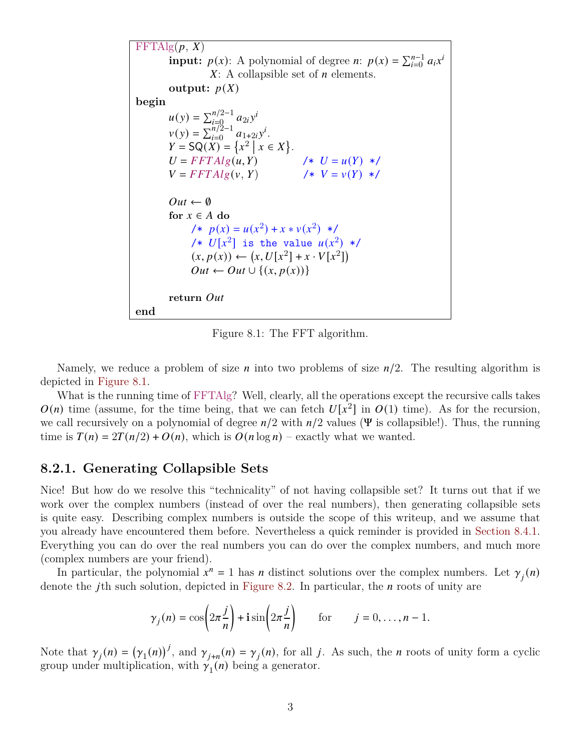<span id="page-2-0"></span> $FFTAlg(p, X)$ **input:**  $p(x)$ : A polynomial of degree *n*:  $p(x) = \sum_{i=0}^{n-1} a_i x^i$  $X: A$  collapsible set of  $n$  elements. **output:**  $p(X)$ **begin**  $u(y) = \sum_{i=0}^{n/2-1} a_{2i}y^i$  $v(y) = \sum_{i=0}^{n/2-1} a_{1+2i}y^{i}.$  $Y = SQ(X) = \{x^2 \mid x \in X\}.$  $U = FFTAlg(u, Y)$  /\*  $U = u(Y)$  \*/  $V = FFTAlg(v, Y)$  /\*  $V = v(Y)$  \*/  $Out \leftarrow \emptyset$ for  $x \in A$  do /\*  $p(x) = u(x^2) + x * v(x^2)$  \*/ /\*  $U[x^2]$  is the value  $u(x^2)$  \*/  $(x, p(x)) \leftarrow (x, U[x^2] + x \cdot V[x^2])$  $Out \leftarrow Out \cup \{(x, p(x))\}$ **return end**

Figure 8.1: The FFT algorithm.

Namely, we reduce a problem of size *n* into two problems of size  $n/2$ . The resulting algorithm is depicted in [Figure 8.1.](#page-2-0)

What is the running time of FFTAlg? Well, clearly, all the operations except the recursive calls takes  $O(n)$  time (assume, for the time being, that we can fetch  $U[x^2]$  in  $O(1)$  time). As for the recursion, we call recursively on a polynomial of degree  $n/2$  with  $n/2$  values ( $\Psi$  is collapsible!). Thus, the running time is  $T(n) = 2T(n/2) + O(n)$ , which is  $O(n \log n)$  – exactly what we wanted.

#### **8.2.1. Generating Collapsible Sets**

Nice! But how do we resolve this "technicality" of not having collapsible set? It turns out that if we work over the complex numbers (instead of over the real numbers), then generating collapsible sets is quite easy. Describing complex numbers is outside the scope of this writeup, and we assume that you already have encountered them before. Nevertheless a quick reminder is provided in [Section 8.4.1.](#page-6-0) Everything you can do over the real numbers you can do over the complex numbers, and much more (complex numbers are your friend).

In particular, the polynomial  $x^n = 1$  has *n* distinct solutions over the complex numbers. Let  $\gamma_i(n)$ denote the j<sup>th</sup> such solution, depicted in [Figure 8.2.](#page-5-0) In particular, the  $n$  roots of unity are

$$
\gamma_j(n) = \cos\left(2\pi \frac{j}{n}\right) + i\sin\left(2\pi \frac{j}{n}\right)
$$
 for  $j = 0, ..., n-1$ .

Note that  $\gamma_j(n) = (\gamma_1(n))^{j}$ , and  $\gamma_{j+n}(n) = \gamma_j(n)$ , for all j. As such, the *n* roots of unity form a cyclic group under multiplication, with  $\gamma_1(n)$  being a generator.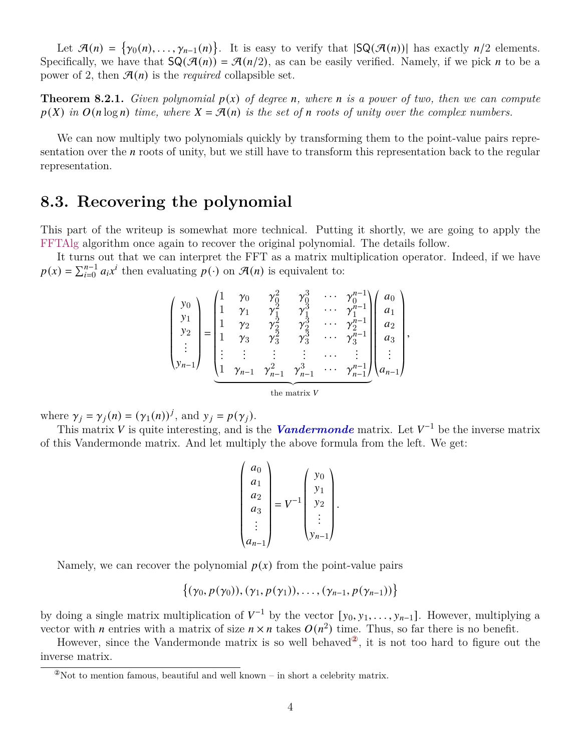Let  $\mathcal{A}(n) = \{\gamma_0(n), \ldots, \gamma_{n-1}(n)\}\.$  It is easy to verify that  $|SQ(\mathcal{A}(n))|$  has exactly  $n/2$  elements. Specifically, we have that  $\mathsf{SQ}(\mathcal{A}(n)) = \mathcal{A}(n/2)$ , as can be easily verified. Namely, if we pick *n* to be a power of 2, then  $\mathcal{A}(n)$  is the *required* collapsible set.

**Theorem 8.2.1.** *Given polynomial*  $p(x)$  *of degree n*, where *n* is a power of two, then we can compute  $p(X)$  *in*  $O(n \log n)$  *time, where*  $X = \mathcal{A}(n)$  *is the set of n* roots of unity over the complex numbers.

We can now multiply two polynomials quickly by transforming them to the point-value pairs representation over the  $n$  roots of unity, but we still have to transform this representation back to the regular representation.

## **8.3. Recovering the polynomial**

This part of the writeup is somewhat more technical. Putting it shortly, we are going to apply the FFTAlg algorithm once again to recover the original polynomial. The details follow.

It turns out that we can interpret the FFT as a matrix multiplication operator. Indeed, if we have  $p(x) = \sum_{i=0}^{n-1} a_i x^i$  then evaluating  $p(\cdot)$  on  $\mathcal{A}(n)$  is equivalent to:

$$
\begin{pmatrix} y_0 \\ y_1 \\ y_2 \\ \vdots \\ y_{n-1} \end{pmatrix} = \begin{pmatrix} 1 & \gamma_0 & \gamma_0^2 & \gamma_0^3 & \cdots & \gamma_0^{n-1} \\ 1 & \gamma_1 & \gamma_1^2 & \gamma_1^3 & \cdots & \gamma_1^{n-1} \\ 1 & \gamma_2 & \gamma_2^2 & \gamma_2^3 & \cdots & \gamma_2^{n-1} \\ 1 & \gamma_3 & \gamma_3^2 & \gamma_3^3 & \cdots & \gamma_3^{n-1} \\ \vdots & \vdots & \vdots & \vdots & \cdots & \vdots \\ 1 & \gamma_{n-1} & \gamma_{n-1}^2 & \gamma_{n-1}^3 & \cdots & \gamma_{n-1}^{n-1} \\ \vdots & \vdots & \vdots & \vdots & \cdots & \vdots \\ 1 & \gamma_{n-1} & \gamma_{n-1}^2 & \gamma_{n-1}^3 & \cdots & \gamma_{n-1}^{n-1} \end{pmatrix} \begin{pmatrix} a_0 \\ a_1 \\ a_2 \\ \vdots \\ a_{n-1} \end{pmatrix},
$$

where  $\gamma_j = \gamma_j(n) = (\gamma_1(n))^j$ , and  $y_j = p(\gamma_j)$ .

This matrix V is quite interesting, and is the **Vandermonde** matrix. Let  $V^{-1}$  be the inverse matrix of this Vandermonde matrix. And let multiply the above formula from the left. We get:

$$
\begin{pmatrix} a_0 \\ a_1 \\ a_2 \\ a_3 \\ \vdots \\ a_{n-1} \end{pmatrix} = V^{-1} \begin{pmatrix} y_0 \\ y_1 \\ y_2 \\ \vdots \\ y_{n-1} \end{pmatrix}.
$$

Namely, we can recover the polynomial  $p(x)$  from the point-value pairs

$$
\{(\gamma_0, p(\gamma_0)), (\gamma_1, p(\gamma_1)), \ldots, (\gamma_{n-1}, p(\gamma_{n-1}))\}
$$

by doing a single matrix multiplication of  $V^{-1}$  by the vector  $[y_0, y_1, \ldots, y_{n-1}]$ . However, multiplying a vector with *n* entries with a matrix of size  $n \times n$  takes  $O(n^2)$  time. Thus, so far there is no benefit.

However, since the Vandermonde matrix is so well behaved<sup> $\mathcal{Q}$ </sup>, it is not too hard to figure out the inverse matrix.

<span id="page-3-0"></span> $\degree$ Not to mention famous, beautiful and well known – in short a celebrity matrix.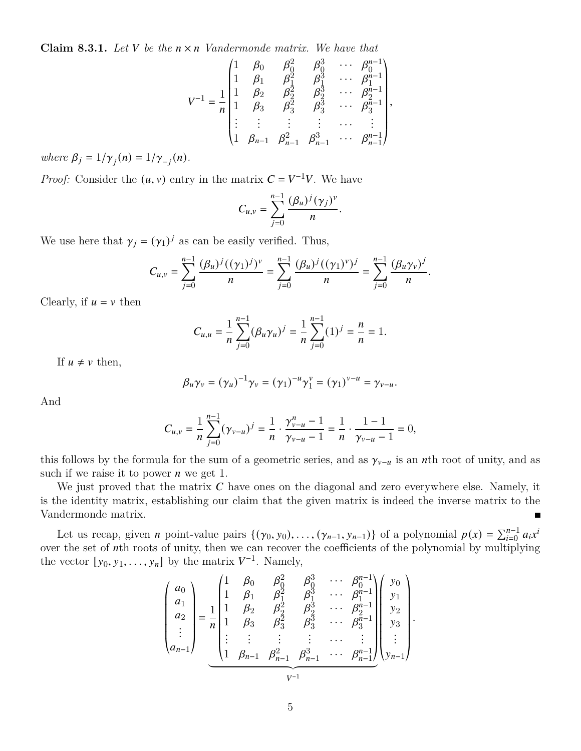**Claim 8.3.1.** Let V be the  $n \times n$  Vandermonde matrix. We have that

$$
V^{-1} = \frac{1}{n} \begin{pmatrix} 1 & \beta_0 & \beta_0^2 & \beta_0^3 & \cdots & \beta_0^{n-1} \\ 1 & \beta_1 & \beta_1^2 & \beta_1^3 & \cdots & \beta_1^{n-1} \\ 1 & \beta_2 & \beta_2^2 & \beta_2^3 & \cdots & \beta_2^{n-1} \\ 1 & \beta_3 & \beta_3^2 & \beta_3^3 & \cdots & \beta_3^{n-1} \\ \vdots & \vdots & \vdots & \vdots & \cdots & \vdots \\ 1 & \beta_{n-1} & \beta_{n-1}^2 & \beta_{n-1}^3 & \cdots & \beta_{n-1}^{n-1} \end{pmatrix},
$$

*where*  $\beta_j = 1/\gamma_j(n) = 1/\gamma_{-j}(n)$ .

*Proof:* Consider the  $(u, v)$  entry in the matrix  $C = V^{-1}V$ . We have

$$
C_{u,v} = \sum_{j=0}^{n-1} \frac{(\beta_u)^j (\gamma_j)^v}{n}
$$

.

We use here that  $\gamma_j = (\gamma_1)^j$  as can be easily verified. Thus,

$$
C_{u,v} = \sum_{j=0}^{n-1} \frac{(\beta_u)^j ((\gamma_1)^j)^v}{n} = \sum_{j=0}^{n-1} \frac{(\beta_u)^j ((\gamma_1)^v)^j}{n} = \sum_{j=0}^{n-1} \frac{(\beta_u \gamma_v)^j}{n}.
$$

Clearly, if  $u = v$  then

$$
C_{u,u} = \frac{1}{n} \sum_{j=0}^{n-1} (\beta_u \gamma_u)^j = \frac{1}{n} \sum_{j=0}^{n-1} (1)^j = \frac{n}{n} = 1.
$$

If  $u \neq v$  then,

$$
\beta_u\gamma_v=(\gamma_u)^{-1}\gamma_v=(\gamma_1)^{-u}\gamma_1^v=(\gamma_1)^{v-u}=\gamma_{v-u}.
$$

And

$$
C_{u,v} = \frac{1}{n} \sum_{j=0}^{n-1} (\gamma_{v-u})^j = \frac{1}{n} \cdot \frac{\gamma_{v-u}^n - 1}{\gamma_{v-u} - 1} = \frac{1}{n} \cdot \frac{1 - 1}{\gamma_{v-u} - 1} = 0,
$$

this follows by the formula for the sum of a geometric series, and as  $\gamma_{v-u}$  is an *n*th root of unity, and as such if we raise it to power  $n$  we get 1.

We just proved that the matrix  $C$  have ones on the diagonal and zero everywhere else. Namely, it is the identity matrix, establishing our claim that the given matrix is indeed the inverse matrix to the Vandermonde matrix.

Let us recap, given *n* point-value pairs  $\{(\gamma_0, y_0), \ldots, (\gamma_{n-1}, y_{n-1})\}$  of a polynomial  $p(x) = \sum_{i=0}^{n-1} a_i x^i$ over the set of nth roots of unity, then we can recover the coefficients of the polynomial by multiplying the vector  $[y_0, y_1, \ldots, y_n]$  by the matrix  $V^{-1}$ . Namely,

$$
\begin{pmatrix}\na_0 \\
a_1 \\
a_2 \\
\vdots \\
a_{n-1}\n\end{pmatrix} = \frac{1}{n} \begin{pmatrix}\n1 & \beta_0 & \beta_0^2 & \beta_0^3 & \cdots & \beta_0^{n-1} \\
1 & \beta_1 & \beta_1^2 & \beta_1^3 & \cdots & \beta_1^{n-1} \\
1 & \beta_2 & \beta_2^2 & \beta_2^3 & \cdots & \beta_2^{n-1} \\
1 & \beta_3 & \beta_3^2 & \beta_3^3 & \cdots & \beta_3^{n-1} \\
\vdots & \vdots & \vdots & \vdots & \cdots & \vdots \\
1 & \beta_{n-1} & \beta_{n-1}^2 & \beta_{n-1}^3 & \cdots & \beta_{n-1}^{n-1}\n\end{pmatrix} \begin{pmatrix}\ny_0 \\
y_1 \\
y_2 \\
y_3 \\
y_3 \\
\vdots \\
y_{n-1}\n\end{pmatrix}.
$$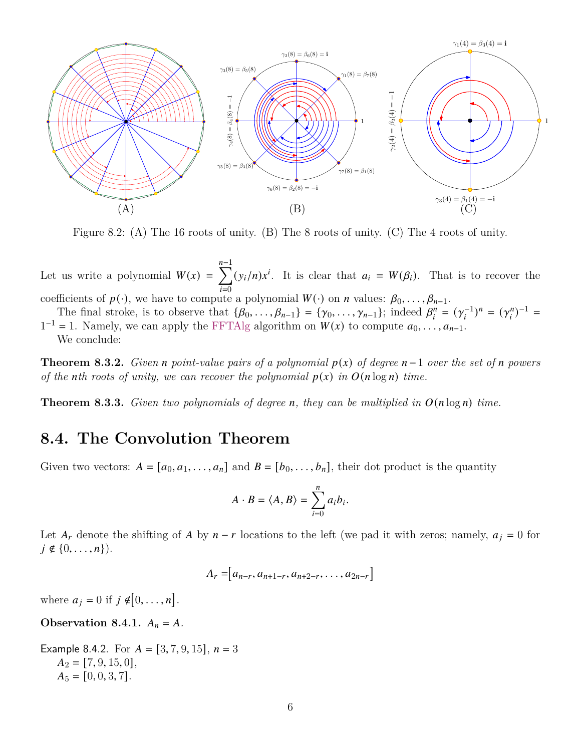<span id="page-5-0"></span>

Figure 8.2: (A) The 16 roots of unity. (B) The 8 roots of unity. (C) The 4 roots of unity.

Let us write a polynomial  $W(x) = \sum_{n=1}^{n-1}$  $\overline{i=0}$  $(y_i/n)x^i$ . It is clear that  $a_i = W(\beta_i)$ . That is to recover the

coefficients of  $p(\cdot)$ , we have to compute a polynomial  $W(\cdot)$  on *n* values:  $\beta_0, \ldots, \beta_{n-1}$ .

The final stroke, is to observe that  $\{\beta_0, \ldots, \beta_{n-1}\} = \{\gamma_0, \ldots, \gamma_{n-1}\}$ ; indeed  $\beta_i^n$  $\sum_{i=1}^{n} (\gamma_i^{-1})^n = (\gamma_i^n)$  $\binom{n}{i}^{-1} =$  $1^{-1} = 1$ . Namely, we can apply the FFTAlg algorithm on  $W(x)$  to compute  $a_0, \ldots, a_{n-1}$ .

We conclude:

**Theorem 8.3.2.** *Given*  $n$  *point-value pairs of a polynomial*  $p(x)$  *of degree*  $n-1$  *over the set of*  $n$  *powers of the nth roots of unity, we can recover the polynomial*  $p(x)$  *in*  $O(n \log n)$  *time.* 

**Theorem 8.3.3.** *Given two polynomials of degree n, they can be multiplied in*  $O(n \log n)$  *time.* 

### **8.4. The Convolution Theorem**

Given two vectors:  $A = [a_0, a_1, \ldots, a_n]$  and  $B = [b_0, \ldots, b_n]$ , their dot product is the quantity

$$
A \cdot B = \langle A, B \rangle = \sum_{i=0}^{n} a_i b_i.
$$

Let  $A_r$  denote the shifting of A by  $n - r$  locations to the left (we pad it with zeros; namely,  $a_j = 0$  for  $j \notin \{0, \ldots, n\}$ .

 $A_r = [a_{n-r}, a_{n+1-r}, a_{n+2-r}, \ldots, a_{2n-r}]$ 

where  $a_j = 0$  if  $j \notin [0, \ldots, n]$ .

**Observation 8.4.1.**  $A_n = A$ .

Example 8.4.2. For  $A = [3, 7, 9, 15]$ ,  $n = 3$  $A_2 = [7, 9, 15, 0],$  $A_5 = [0, 0, 3, 7].$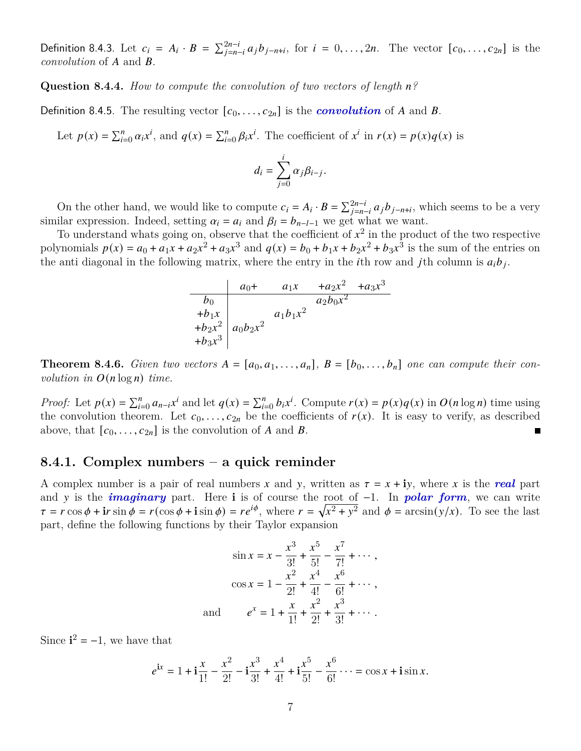Definition 8.4.3. Let  $c_i = A_i \cdot B = \sum_{j=n-i}^{2n-i} a_j b_{j-n+i}$ , for  $i = 0, \ldots, 2n$ . The vector  $[c_0, \ldots, c_{2n}]$  is the *convolution* of A and B.

**Question 8.4.4.** *How to compute the convolution of two vectors of length n?* 

Definition 8.4.5. The resulting vector  $[c_0, \ldots, c_{2n}]$  is the *convolution* of A and B.

Let  $p(x) = \sum_{i=0}^{n} \alpha_i x^i$ , and  $q(x) = \sum_{i=0}^{n} \beta_i x^i$ . The coefficient of  $x^i$  in  $r(x) = p(x)q(x)$  is

$$
d_i = \sum_{j=0}^i \alpha_j \beta_{i-j}.
$$

On the other hand, we would like to compute  $c_i = A_i \cdot B = \sum_{j=n-i}^{2n-i} a_j b_{j-n+i}$ , which seems to be a very similar expression. Indeed, setting  $\alpha_i = a_i$  and  $\beta_l = b_{n-l-1}$  we get what we want.

To understand whats going on, observe that the coefficient of  $x^2$  in the product of the two respective polynomials  $p(x) = a_0 + a_1x + a_2x^2 + a_3x^3$  and  $q(x) = b_0 + b_1x + b_2x^2 + b_3x^3$  is the sum of the entries on the anti diagonal in the following matrix, where the entry in the *i*th row and *j*th column is  $a_i b_j$ .

$$
\begin{array}{c|cc}\n & a_0 & + a_1x & +a_2x^2 & +a_3x^3 \\
\hline\nb_0 & & a_2b_0x^2 & \\
\hline\n+ b_1x & & a_1b_1x^2 & \\
+b_2x^2 & & a_0b_2x^2 & \\
\hline\n+ b_3x^3 & & & \n\end{array}
$$

**Theorem 8.4.6.** *Given two vectors*  $A = [a_0, a_1, \ldots, a_n]$ ,  $B = [b_0, \ldots, b_n]$  *one can compute their convolution in*  $O(n \log n)$  *time.* 

*Proof:* Let  $p(x) = \sum_{i=0}^{n} a_{n-i} x^i$  and let  $q(x) = \sum_{i=0}^{n} b_i x^i$ . Compute  $r(x) = p(x)q(x)$  in  $O(n \log n)$  time using the convolution theorem. Let  $c_0, \ldots, c_{2n}$  be the coefficients of  $r(x)$ . It is easy to verify, as described above, that  $[c_0, \ldots, c_{2n}]$  is the convolution of A and B.  $\blacksquare$ 

#### <span id="page-6-0"></span>**8.4.1. Complex numbers – a quick reminder**

A complex number is a pair of real numbers x and y, written as  $\tau = x + iy$ , where x is the **real** part and y is the *imaginary* part. Here i is of course the root of −1. In *polar form*, we can write  $\tau = r \cos \phi + i r \sin \phi = r(\cos \phi + i \sin \phi) = r e^{i\phi}$ , where  $r = \sqrt{x^2 + y^2}$  and  $\phi = \arcsin(y/x)$ . To see the last part, define the following functions by their Taylor expansion

$$
\sin x = x - \frac{x^3}{3!} + \frac{x^5}{5!} - \frac{x^7}{7!} + \cdots,
$$
  

$$
\cos x = 1 - \frac{x^2}{2!} + \frac{x^4}{4!} - \frac{x^6}{6!} + \cdots,
$$
  
and 
$$
e^x = 1 + \frac{x}{1!} + \frac{x^2}{2!} + \frac{x^3}{3!} + \cdots.
$$

Since  $\mathbf{i}^2 = -1$ , we have that

$$
e^{ix} = 1 + i\frac{x}{1!} - \frac{x^2}{2!} - i\frac{x^3}{3!} + \frac{x^4}{4!} + i\frac{x^5}{5!} - \frac{x^6}{6!} \cdots = \cos x + i\sin x.
$$